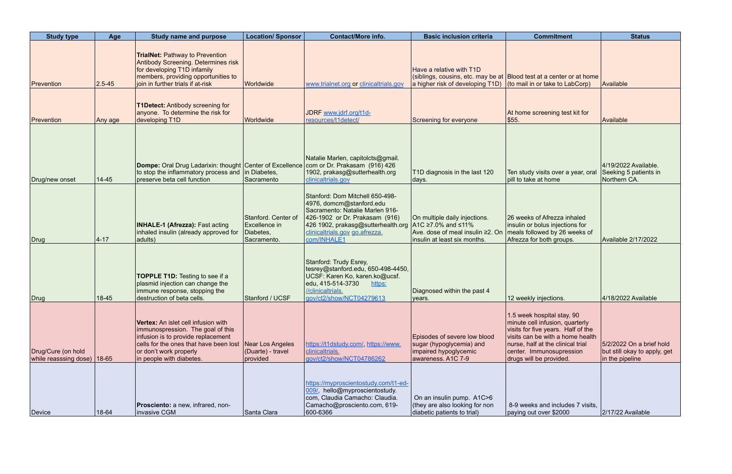| <b>Study type</b>                                   | Age        | <b>Study name and purpose</b>                                                                                                                                                                                  | <b>Location/ Sponsor</b>                                         | <b>Contact/More info.</b>                                                                                                                                                                                                                    | <b>Basic inclusion criteria</b>                                                                         | <b>Commitment</b>                                                                                                                                                                                                                   | <b>Status</b>                                                               |
|-----------------------------------------------------|------------|----------------------------------------------------------------------------------------------------------------------------------------------------------------------------------------------------------------|------------------------------------------------------------------|----------------------------------------------------------------------------------------------------------------------------------------------------------------------------------------------------------------------------------------------|---------------------------------------------------------------------------------------------------------|-------------------------------------------------------------------------------------------------------------------------------------------------------------------------------------------------------------------------------------|-----------------------------------------------------------------------------|
| Prevention                                          | $2.5 - 45$ | <b>TrialNet: Pathway to Prevention</b><br>Antibody Screening. Determines risk<br>for developing T1D infamily<br>members, providing opportunities to<br>join in further trials if at-risk                       | Worldwide                                                        | www.trialnet.org or clinicaltrials.gov                                                                                                                                                                                                       | Have a relative with T1D<br>a higher risk of developing $T1D$ (to mail in or take to LabCorp)           | (siblings, cousins, etc. may be at Blood test at a center or at home                                                                                                                                                                | Available                                                                   |
| Prevention                                          | Any age    | <b>T1Detect: Antibody screening for</b><br>anyone. To determine the risk for<br>developing T1D                                                                                                                 | Worldwide                                                        | JDRF www.jdrf.org/t1d-<br>resources/t1detect/                                                                                                                                                                                                | Screening for everyone                                                                                  | At home screening test kit for<br>\$55.                                                                                                                                                                                             | Available                                                                   |
| Drug/new onset                                      | $14 - 45$  | Dompe: Oral Drug Ladarixin: thought Center of Excellence com or Dr. Prakasam (916) 426<br>to stop the inflammatory process and<br>preserve beta cell function                                                  | in Diabetes,<br>Sacramento                                       | Natalie Marlen, capitolcts@gmail.<br>1902, prakasg@sutterhealth.org<br>clinicaltrials.gov                                                                                                                                                    | T1D diagnosis in the last 120<br>days.                                                                  | Ten study visits over a year, oral<br>pill to take at home                                                                                                                                                                          | 4/19/2022 Available.<br>Seeking 5 patients in<br>Northern CA.               |
| Drug                                                | $ 4 - 17$  | <b>INHALE-1 (Afrezza): Fast acting</b><br>inhaled insulin (already approved for<br>adults)                                                                                                                     | Stanford. Center of<br>Excellence in<br>Diabetes,<br>Sacramento. | Stanford: Dom Mitchell 650-498-<br>4976, domcm@stanford.edu<br>Sacramento: Natalie Marlen 916-<br>426-1902 or Dr. Prakasam (916)<br>426 1902, prakasg@sutterhealth.org   A1C ≥7.0% and ≤11%<br>clinicaltrials.gov go.afrezza.<br>com/INHALE1 | On multiple daily injections.<br>Ave. dose of meal insulin ≥2. On<br>insulin at least six months.       | 26 weeks of Afrezza inhaled<br>insulin or bolus injections for<br>meals followed by 26 weeks of<br>Afrezza for both groups.                                                                                                         | <b>Available 2/17/2022</b>                                                  |
| Drug                                                | 18-45      | <b>TOPPLE T1D:</b> Testing to see if a<br>plasmid injection can change the<br>immune response, stopping the<br>destruction of beta cells.                                                                      | Stanford / UCSF                                                  | Stanford: Trudy Esrey,<br>tesrey@stanford.edu, 650-498-4450,<br>UCSF: Karen Ko, karen.ko@ucsf.<br>edu, 415-514-3730<br>https:<br>//clinicaltrials.<br>gov/ct2/show/NCT04279613                                                               | Diagnosed within the past 4<br>vears.                                                                   | 12 weekly injections.                                                                                                                                                                                                               | 4/18/2022 Available                                                         |
| Drug/Cure (on hold<br>while reasssing dose)   18-65 |            | Vertex: An islet cell infusion with<br>immunospression. The goal of this<br>infusion is to provide replacement<br>cells for the ones that have been lost<br>or don't work properly<br>in people with diabetes. | Near Los Angeles<br>(Duarte) - travel<br>provided                | https://t1dstudy.com/, https://www.<br>clinicaltrials.<br>gov/ct2/show/NCT04786262                                                                                                                                                           | Episodes of severe low blood<br>sugar (hypoglycemia) and<br>impaired hypoglycemic<br>awareness. A1C 7-9 | 1.5 week hospital stay, 90<br>minute cell infusion, quarterly<br>visits for five years. Half of the<br>visits can be with a home health<br>nurse, half at the clinical trial<br>center. Immunosupression<br>drugs will be provided. | 5/2/2022 On a brief hold<br>but still okay to apply, get<br>in the pipeline |
| Device                                              | 18-64      | Prosciento: a new, infrared, non-<br>invasive CGM                                                                                                                                                              | Santa Clara                                                      | https://myproscientostudy.com/t1-ed-<br>009/, hello@myproscientostudy.<br>com, Claudia Camacho: Claudia.<br>Camacho@prosciento.com, 619-<br>600-6366                                                                                         | On an insulin pump. A1C>6<br>(they are also looking for non<br>diabetic patients to trial)              | 8-9 weeks and includes 7 visits,<br>paying out over \$2000                                                                                                                                                                          | 2/17/22 Available                                                           |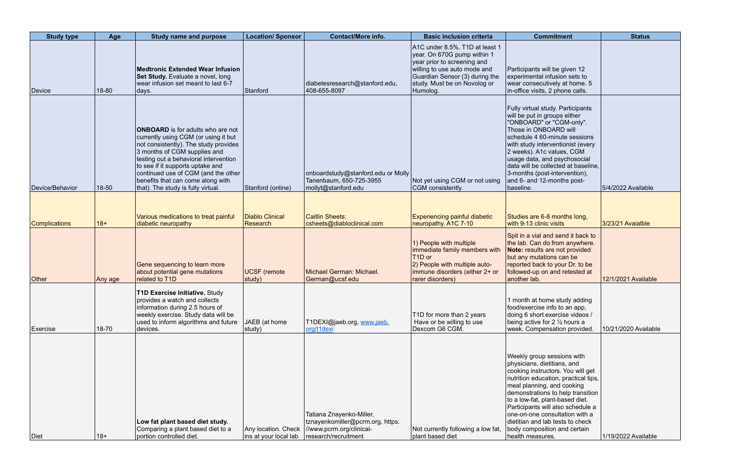| <b>Study type</b>    | Age     | <b>Study name and purpose</b>                                                                                                                                                                                                                                                                                                                            | <b>Location/ Sponsor</b>                     | <b>Contact/More info.</b>                                                                                        | <b>Basic inclusion criteria</b>                                                                                                                                                                            | <b>Commitment</b>                                                                                                                                                                                                                                                                                                                                                                                           | <b>Status</b>        |
|----------------------|---------|----------------------------------------------------------------------------------------------------------------------------------------------------------------------------------------------------------------------------------------------------------------------------------------------------------------------------------------------------------|----------------------------------------------|------------------------------------------------------------------------------------------------------------------|------------------------------------------------------------------------------------------------------------------------------------------------------------------------------------------------------------|-------------------------------------------------------------------------------------------------------------------------------------------------------------------------------------------------------------------------------------------------------------------------------------------------------------------------------------------------------------------------------------------------------------|----------------------|
| Device               | 18-80   | <b>Medtronic Extended Wear Infusion</b><br>Set Study. Evaluate a novel, long<br>wear infusion set meant to last 6-7<br>days.                                                                                                                                                                                                                             | Stanford                                     | diabetesresearch@stanford.edu,<br>408-655-8097                                                                   | A1C under 8.5%. T1D at least 1<br>year. On 670G pump within 1<br>year prior to screening and<br>willing to use auto mode and<br>Guardian Sensor (3) during the<br>study. Must be on Novolog or<br>Humolog. | Participants will be given 12<br>experimental infusion sets to<br>wear consecutively at home. 5<br>in-office visits, 2 phone calls.                                                                                                                                                                                                                                                                         |                      |
| Device/Behavior      | 18-50   | <b>ONBOARD</b> is for adults who are not<br>currently using CGM (or using it but<br>not consistently). The study provides<br>3 months of CGM supplies and<br>testing out a behavioral intervention<br>to see if it supports uptake and<br>continued use of CGM (and the other<br>benefits that can come along with<br>that). The study is fully virtual. | Stanford (online)                            | onboardstudy@stanford.edu or Molly<br>Tanenbaum, 650-725-3955<br>mollyt@stanford.edu                             | Not yet using CGM or not using<br>CGM consistently.                                                                                                                                                        | Fully virtual study. Participants<br>will be put in groups either<br>"ONBOARD" or "CGM-only".<br>Those in ONBOARD will<br>schedule 4 60-minute sessions<br>with study interventionist (every<br>2 weeks). A1c values, CGM<br>usage data, and psychosocial<br>data will be collected at baseline.<br>3-months (post-intervention),<br>and 6- and 12-months post-<br>baseline.                                | 5/4/2022 Available   |
|                      |         |                                                                                                                                                                                                                                                                                                                                                          |                                              |                                                                                                                  |                                                                                                                                                                                                            |                                                                                                                                                                                                                                                                                                                                                                                                             |                      |
| <b>Complications</b> | $18+$   | Various medications to treat painful<br>diabetic neuropathy                                                                                                                                                                                                                                                                                              | <b>Diablo Clinical</b><br>Research           | Caitlin Sheets:<br>csheets@diabloclinical.com                                                                    | <b>Experiencing painful diabetic</b><br>neuropathy. A1C 7-10                                                                                                                                               | Studies are 6-8 months long,<br>with 9-13 clinic visits                                                                                                                                                                                                                                                                                                                                                     | 3/23/21 Avaialble    |
| <b>Other</b>         | Any age | Gene sequencing to learn more<br>about potential gene mutations<br>related to T1D                                                                                                                                                                                                                                                                        | <b>UCSF</b> (remote<br>study)                | Michael German: Michael.<br>German@ucsf.edu                                                                      | 1) People with multiple<br>immediate family members with<br>T <sub>1</sub> D or<br>2) People with multiple auto-<br>immune disorders (either 2+ or<br>rarer disorders)                                     | Spit in a vial and send it back to<br>the lab. Can do from anywhere.<br><b>Note:</b> results are not provided<br>but any mutations can be<br>reported back to your Dr. to be<br>followed-up on and retested at<br>another lab.                                                                                                                                                                              | 12/1/2021 Available  |
| Exercise             | 18-70   | <b>T1D Exercise Initiative. Study</b><br>provides a watch and collects<br>information during 2.5 hours of<br>weekly exercise. Study data will be<br>used to inform algorithms and future<br>devices.                                                                                                                                                     | JAEB (at home<br>study)                      | T1DEXI@jaeb.org, www.jaeb.<br>org/t1dexi                                                                         | T1D for more than 2 years<br>Have or be willing to use<br>Dexcom G6 CGM.                                                                                                                                   | 1 month at home study adding<br>food/exercise info to an app,<br>doing 6 short exercise videos /<br>being active for 2 $\frac{1}{2}$ hours a<br>week. Compensation provided.                                                                                                                                                                                                                                | 10/21/2020 Available |
| Diet                 | $18+$   | Low fat plant based diet study.<br>Comparing a plant based diet to a<br>portion controlled diet.                                                                                                                                                                                                                                                         | Any location. Check<br>ins at your local lab | Tatiana Znayenko-Miller,<br>tznayenkomiller@pcrm.org, https:<br>//www.pcrm.org/clinical-<br>research/recruitment | Not currently following a low fat,<br>plant based diet                                                                                                                                                     | Weekly group sessions with<br>physicians, dietitians, and<br>cooking instructors. You will get<br>nutrition education, practical tips,<br>meal planning, and cooking<br>demonstrations to help transition<br>to a low-fat, plant-based diet.<br>Participants will also schedule a<br>one-on-one consultation with a<br>dietitian and lab tests to check<br>body composition and certain<br>health measures. | 1/19/2022 Available  |